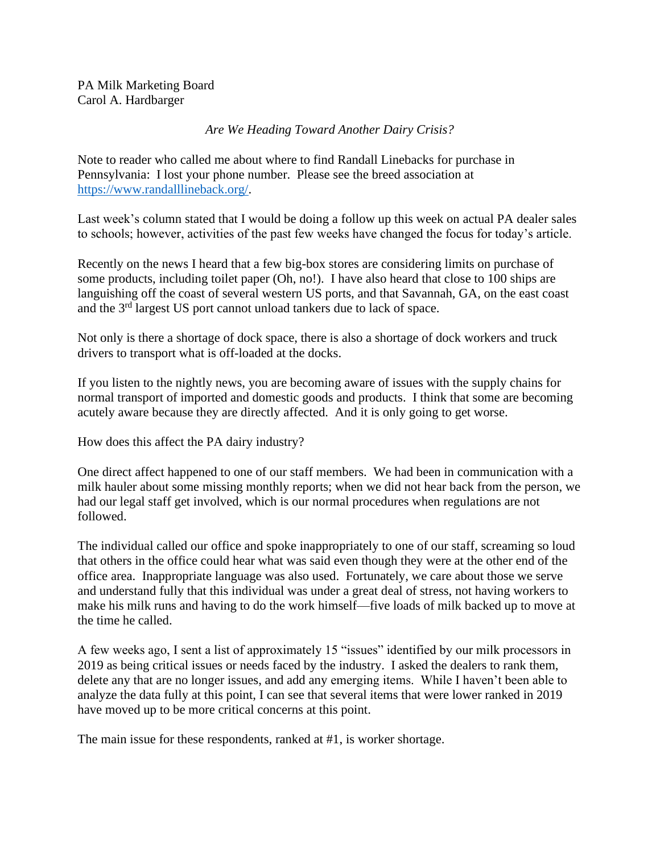PA Milk Marketing Board Carol A. Hardbarger

*Are We Heading Toward Another Dairy Crisis?*

Note to reader who called me about where to find Randall Linebacks for purchase in Pennsylvania: I lost your phone number. Please see the breed association at [https://www.randalllineback.org/.](https://www.randalllineback.org/)

Last week's column stated that I would be doing a follow up this week on actual PA dealer sales to schools; however, activities of the past few weeks have changed the focus for today's article.

Recently on the news I heard that a few big-box stores are considering limits on purchase of some products, including toilet paper (Oh, no!). I have also heard that close to 100 ships are languishing off the coast of several western US ports, and that Savannah, GA, on the east coast and the 3rd largest US port cannot unload tankers due to lack of space.

Not only is there a shortage of dock space, there is also a shortage of dock workers and truck drivers to transport what is off-loaded at the docks.

If you listen to the nightly news, you are becoming aware of issues with the supply chains for normal transport of imported and domestic goods and products. I think that some are becoming acutely aware because they are directly affected. And it is only going to get worse.

How does this affect the PA dairy industry?

One direct affect happened to one of our staff members. We had been in communication with a milk hauler about some missing monthly reports; when we did not hear back from the person, we had our legal staff get involved, which is our normal procedures when regulations are not followed.

The individual called our office and spoke inappropriately to one of our staff, screaming so loud that others in the office could hear what was said even though they were at the other end of the office area. Inappropriate language was also used. Fortunately, we care about those we serve and understand fully that this individual was under a great deal of stress, not having workers to make his milk runs and having to do the work himself—five loads of milk backed up to move at the time he called.

A few weeks ago, I sent a list of approximately 15 "issues" identified by our milk processors in 2019 as being critical issues or needs faced by the industry. I asked the dealers to rank them, delete any that are no longer issues, and add any emerging items. While I haven't been able to analyze the data fully at this point, I can see that several items that were lower ranked in 2019 have moved up to be more critical concerns at this point.

The main issue for these respondents, ranked at #1, is worker shortage.